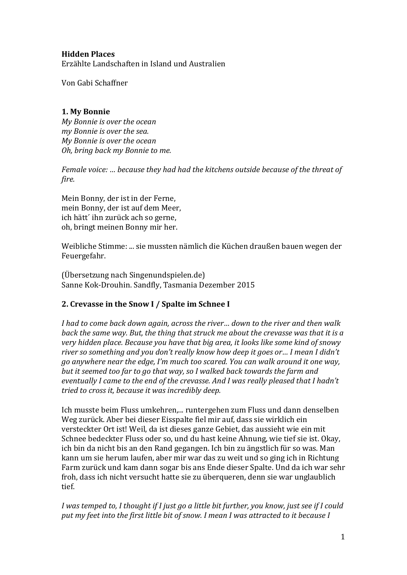## **Hidden Places**

Erzählte Landschaften in Island und Australien

Von Gabi Schaffner

#### **1. My Bonnie**

*My Bonnie is over the ocean my Bonnie is over the sea. My Bonnie is over the ocean Oh, bring back my Bonnie to me.*

*Female voice: … because they had had the kitchens outside because of the threat of fire.*

Mein Bonny, der ist in der Ferne, mein Bonny, der ist auf dem Meer, ich hätt´ ihn zurück ach so gerne, oh, bringt meinen Bonny mir her.

Weibliche Stimme: ... sie mussten nämlich die Küchen draußen bauen wegen der Feuergefahr.

(Übersetzung nach Singenundspielen.de) Sanne Kok-Drouhin. Sandfly, Tasmania Dezember 2015

# **2. Crevasse in the Snow I / Spalte im Schnee I**

*I had to come back down again, across the river… down to the river and then walk back the same way. But, the thing that struck me about the crevasse was that it is a very hidden place. Because you have that big area, it looks like some kind of snowy river so something and you don't really know how deep it goes or… I mean I didn't go anywhere near the edge, I'm much too scared. You can walk around it one way, but it seemed too far to go that way, so I walked back towards the farm and eventually I came to the end of the crevasse. And I was really pleased that I hadn't tried to cross it, because it was incredibly deep.*

Ich musste beim Fluss umkehren,... runtergehen zum Fluss und dann denselben Weg zurück. Aber bei dieser Eisspalte fiel mir auf, dass sie wirklich ein versteckter Ort ist! Weil, da ist dieses ganze Gebiet, das aussieht wie ein mit Schnee bedeckter Fluss oder so, und du hast keine Ahnung, wie tief sie ist. Okay, ich bin da nicht bis an den Rand gegangen. Ich bin zu ängstlich für so was. Man kann um sie herum laufen, aber mir war das zu weit und so ging ich in Richtung Farm zurück und kam dann sogar bis ans Ende dieser Spalte. Und da ich war sehr froh, dass ich nicht versucht hatte sie zu überqueren, denn sie war unglaublich tief.

*I was temped to, I thought if I just go a little bit further, you know, just see if I could put my feet into the first little bit of snow. I mean I was attracted to it because I*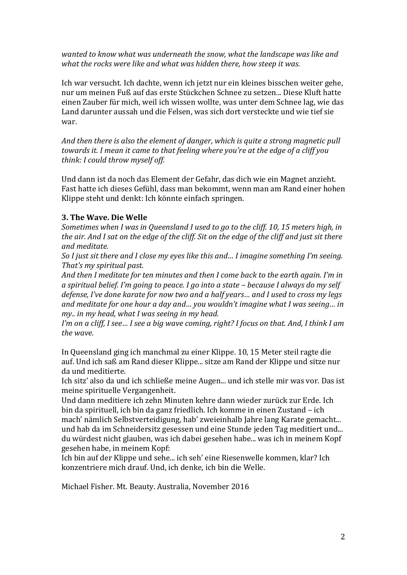*wanted to know what was underneath the snow, what the landscape was like and what the rocks were like and what was hidden there, how steep it was.*

Ich war versucht. Ich dachte, wenn ich jetzt nur ein kleines bisschen weiter gehe, nur um meinen Fuß auf das erste Stückchen Schnee zu setzen... Diese Kluft hatte einen Zauber für mich, weil ich wissen wollte, was unter dem Schnee lag, wie das Land darunter aussah und die Felsen, was sich dort versteckte und wie tief sie war.

*And then there is also the element of danger, which is quite a strong magnetic pull towards it. I mean it came to that feeling where you're at the edge of a cliff you think: I could throw myself off.*

Und dann ist da noch das Element der Gefahr, das dich wie ein Magnet anzieht. Fast hatte ich dieses Gefühl, dass man bekommt, wenn man am Rand einer hohen Klippe steht und denkt: Ich könnte einfach springen.

# **3. The Wave. Die Welle**

*Sometimes when I was in Queensland I used to go to the cliff. 10, 15 meters high, in the air. And I sat on the edge of the cliff. Sit on the edge of the cliff and just sit there and meditate.*

*So I just sit there and I close my eyes like this and… I imagine something I'm seeing. That's my spiritual past.*

*And then I meditate for ten minutes and then I come back to the earth again. I'm in a spiritual belief. I'm going to peace. I go into a state – because I always do my self defense, I've done karate for now two and a half years… and I used to cross my legs and meditate for one hour a day and… you wouldn't imagine what I was seeing… in my.. in my head, what I was seeing in my head.*

*I'm on a cliff, I see... I see a big wave coming, right? I focus on that. And, I think I am the wave.*

In Queensland ging ich manchmal zu einer Klippe. 10, 15 Meter steil ragte die auf. Und ich saß am Rand dieser Klippe... sitze am Rand der Klippe und sitze nur da und meditierte.

Ich sitz' also da und ich schließe meine Augen... und ich stelle mir was vor. Das ist meine spirituelle Vergangenheit.

Und dann meditiere ich zehn Minuten kehre dann wieder zurück zur Erde. Ich bin da spirituell, ich bin da ganz friedlich. Ich komme in einen Zustand – ich mach' nämlich Selbstverteidigung, hab' zweieinhalb Jahre lang Karate gemacht... und hab da im Schneidersitz gesessen und eine Stunde jeden Tag meditiert und... du würdest nicht glauben, was ich dabei gesehen habe... was ich in meinem Kopf gesehen habe, in meinem Kopf:

Ich bin auf der Klippe und sehe... ich seh' eine Riesenwelle kommen, klar? Ich konzentriere mich drauf. Und, ich denke, ich bin die Welle.

Michael Fisher. Mt. Beauty. Australia, November 2016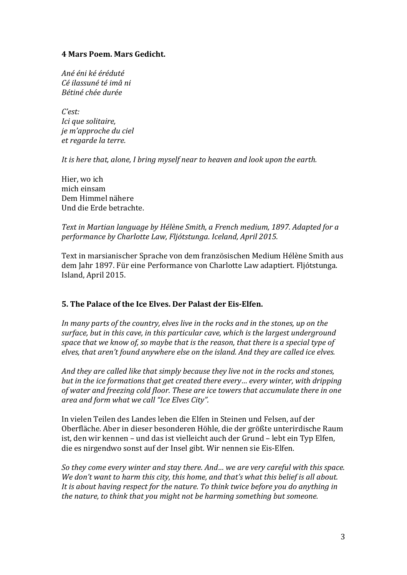#### **4 Mars Poem. Mars Gedicht.**

*Ané éni ké éréduté Cé ilassuné té imâ ni Bétiné chée durée*

*C'est: Ici que solitaire, je m'approche du ciel et regarde la terre.*

*It is here that, alone, I bring myself near to heaven and look upon the earth.*

Hier, wo ich mich einsam Dem Himmel nähere Und die Erde betrachte.

#### *Text in Martian language by Hélène Smith, a French medium, 1897. Adapted for a performance by Charlotte Law, Fljótstunga. Iceland, April 2015.*

Text in marsianischer Sprache von dem französischen Medium Hélène Smith aus dem Jahr 1897. Für eine Performance von Charlotte Law adaptiert. Fljótstunga. Island, April 2015.

# **5. The Palace of the Ice Elves. Der Palast der Eis-Elfen.**

*In many parts of the country, elves live in the rocks and in the stones, up on the surface, but in this cave, in this particular cave, which is the largest underground space that we know of, so maybe that is the reason, that there is a special type of elves, that aren't found anywhere else on the island. And they are called ice elves.*

*And they are called like that simply because they live not in the rocks and stones, but in the ice formations that get created there every… every winter, with dripping of water and freezing cold floor. These are ice towers that accumulate there in one area and form what we call "Ice Elves City".*

In vielen Teilen des Landes leben die Elfen in Steinen und Felsen, auf der Oberfläche. Aber in dieser besonderen Höhle, die der größte unterirdische Raum ist, den wir kennen – und das ist vielleicht auch der Grund – lebt ein Typ Elfen, die es nirgendwo sonst auf der Insel gibt. Wir nennen sie Eis-Elfen.

*So they come every winter and stay there. And… we are very careful with this space. We don't want to harm this city, this home, and that's what this belief is all about. It is about having respect for the nature. To think twice before you do anything in the nature, to think that you might not be harming something but someone.*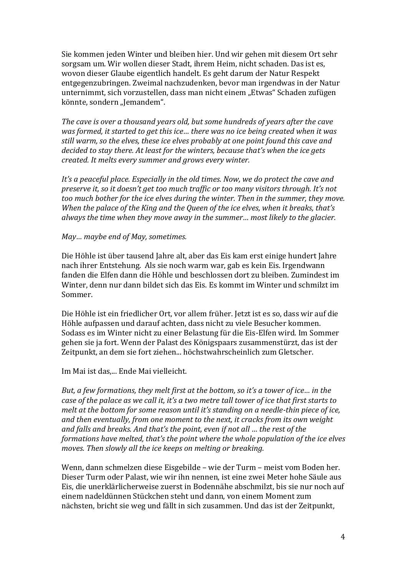Sie kommen jeden Winter und bleiben hier. Und wir gehen mit diesem Ort sehr sorgsam um. Wir wollen dieser Stadt, ihrem Heim, nicht schaden. Das ist es, wovon dieser Glaube eigentlich handelt. Es geht darum der Natur Respekt entgegenzubringen. Zweimal nachzudenken, bevor man irgendwas in der Natur unternimmt, sich vorzustellen, dass man nicht einem "Etwas" Schaden zufügen könnte, sondern "Jemandem".

*The cave is over a thousand years old, but some hundreds of years after the cave was formed, it started to get this ice… there was no ice being created when it was still warm, so the elves, these ice elves probably at one point found this cave and decided to stay there. At least for the winters, because that's when the ice gets created. It melts every summer and grows every winter.* 

*It's a peaceful place. Especially in the old times. Now, we do protect the cave and preserve it, so it doesn't get too much traffic or too many visitors through. It's not too much bother for the ice elves during the winter. Then in the summer, they move. When the palace of the King and the Queen of the ice elves, when it breaks, that's always the time when they move away in the summer… most likely to the glacier.*

#### *May… maybe end of May, sometimes.*

Die Höhle ist über tausend Jahre alt, aber das Eis kam erst einige hundert Jahre nach ihrer Entstehung. Als sie noch warm war, gab es kein Eis. Irgendwann fanden die Elfen dann die Höhle und beschlossen dort zu bleiben. Zumindest im Winter, denn nur dann bildet sich das Eis. Es kommt im Winter und schmilzt im Sommer.

Die Höhle ist ein friedlicher Ort, vor allem früher. Jetzt ist es so, dass wir auf die Höhle aufpassen und darauf achten, dass nicht zu viele Besucher kommen. Sodass es im Winter nicht zu einer Belastung für die Eis-Elfen wird. Im Sommer gehen sie ja fort. Wenn der Palast des Königspaars zusammenstürzt, das ist der Zeitpunkt, an dem sie fort ziehen... höchstwahrscheinlich zum Gletscher.

Im Mai ist das,... Ende Mai vielleicht.

*But, a few formations, they melt first at the bottom, so it's a tower of ice… in the case of the palace as we call it, it's a two metre tall tower of ice that first starts to melt at the bottom for some reason until it's standing on a needle-thin piece of ice, and then eventually, from one moment to the next, it cracks from its own weight and falls and breaks. And that's the point, even if not all … the rest of the formations have melted, that's the point where the whole population of the ice elves moves. Then slowly all the ice keeps on melting or breaking.*

Wenn, dann schmelzen diese Eisgebilde – wie der Turm – meist vom Boden her. Dieser Turm oder Palast, wie wir ihn nennen, ist eine zwei Meter hohe Säule aus Eis, die unerklärlicherweise zuerst in Bodennähe abschmilzt, bis sie nur noch auf einem nadeldünnen Stückchen steht und dann, von einem Moment zum nächsten, bricht sie weg und fällt in sich zusammen. Und das ist der Zeitpunkt,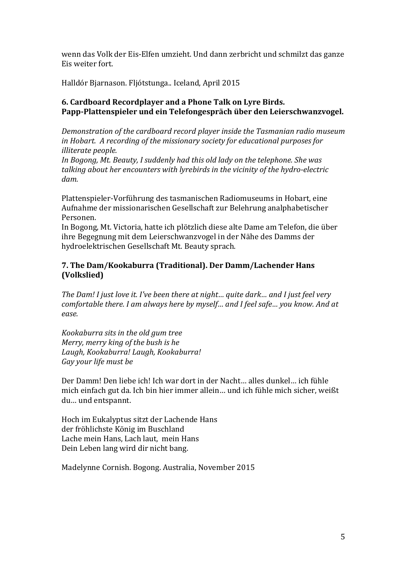wenn das Volk der Eis-Elfen umzieht. Und dann zerbricht und schmilzt das ganze Eis weiter fort.

Halldór Bjarnason. Fljótstunga.. Iceland, April 2015

# **6. Cardboard Recordplayer and a Phone Talk on Lyre Birds. Papp-Plattenspieler und ein Telefongespräch über den Leierschwanzvogel.**

*Demonstration of the cardboard record player inside the Tasmanian radio museum in Hobart. A recording of the missionary society for educational purposes for illiterate people.* 

*In Bogong, Mt. Beauty, I suddenly had this old lady on the telephone. She was talking about her encounters with lyrebirds in the vicinity of the hydro-electric dam.*

Plattenspieler-Vorführung des tasmanischen Radiomuseums in Hobart, eine Aufnahme der missionarischen Gesellschaft zur Belehrung analphabetischer Personen.

In Bogong, Mt. Victoria, hatte ich plötzlich diese alte Dame am Telefon, die über ihre Begegnung mit dem Leierschwanzvogel in der Nähe des Damms der hydroelektrischen Gesellschaft Mt. Beauty sprach.

## **7. The Dam/Kookaburra (Traditional). Der Damm/Lachender Hans (Volkslied)**

*The Dam! I just love it. I've been there at night… quite dark… and I just feel very comfortable there. I am always here by myself… and I feel safe… you know. And at ease.*

*Kookaburra sits in the old gum tree Merry, merry king of the bush is he Laugh, Kookaburra! Laugh, Kookaburra! Gay your life must be*

Der Damm! Den liebe ich! Ich war dort in der Nacht… alles dunkel… ich fühle mich einfach gut da. Ich bin hier immer allein… und ich fühle mich sicher, weißt du… und entspannt.

Hoch im Eukalyptus sitzt der Lachende Hans der fröhlichste König im Buschland Lache mein Hans, Lach laut, mein Hans Dein Leben lang wird dir nicht bang.

Madelynne Cornish. Bogong. Australia, November 2015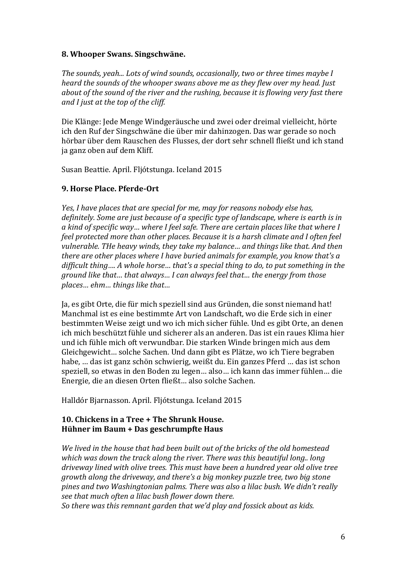#### **8. Whooper Swans. Singschwäne.**

*The sounds, yeah... Lots of wind sounds, occasionally, two or three times maybe I heard the sounds of the whooper swans above me as they flew over my head. Just about of the sound of the river and the rushing, because it is flowing very fast there and I just at the top of the cliff.*

Die Klänge: Jede Menge Windgeräusche und zwei oder dreimal vielleicht, hörte ich den Ruf der Singschwäne die über mir dahinzogen. Das war gerade so noch hörbar über dem Rauschen des Flusses, der dort sehr schnell fließt und ich stand ja ganz oben auf dem Kliff.

Susan Beattie. April. Fljótstunga. Iceland 2015

## **9. Horse Place. Pferde-Ort**

*Yes, I have places that are special for me, may for reasons nobody else has, definitely. Some are just because of a specific type of landscape, where is earth is in a kind of specific way… where I feel safe. There are certain places like that where I feel protected more than other places. Because it is a harsh climate and I often feel vulnerable. THe heavy winds, they take my balance… and things like that. And then there are other places where I have buried animals for example, you know that's a difficult thing…. A whole horse… that's a special thing to do, to put something in the ground like that… that always… I can always feel that… the energy from those places… ehm… things like that…*

Ja, es gibt Orte, die für mich speziell sind aus Gründen, die sonst niemand hat! Manchmal ist es eine bestimmte Art von Landschaft, wo die Erde sich in einer bestimmten Weise zeigt und wo ich mich sicher fühle. Und es gibt Orte, an denen ich mich beschützt fühle und sicherer als an anderen. Das ist ein raues Klima hier und ich fühle mich oft verwundbar. Die starken Winde bringen mich aus dem Gleichgewicht… solche Sachen. Und dann gibt es Plätze, wo ich Tiere begraben habe, … das ist ganz schön schwierig, weißt du. Ein ganzes Pferd … das ist schon speziell, so etwas in den Boden zu legen… also… ich kann das immer fühlen… die Energie, die an diesen Orten fließt… also solche Sachen.

Halldór Bjarnasson. April. Fljótstunga. Iceland 2015

## **10. Chickens in a Tree + The Shrunk House. Hühner im Baum + Das geschrumpfte Haus**

*We lived in the house that had been built out of the bricks of the old homestead which was down the track along the river. There was this beautiful long.. long driveway lined with olive trees. This must have been a hundred year old olive tree growth along the driveway, and there's a big monkey puzzle tree, two big stone pines and two Washingtonian palms. There was also a lilac bush. We didn't really see that much often a lilac bush flower down there. So there was this remnant garden that we'd play and fossick about as kids.*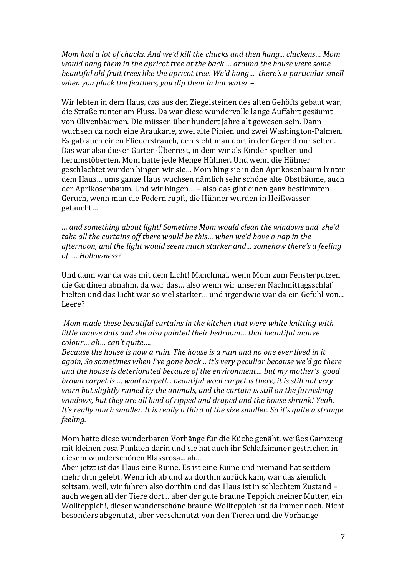*Mom had a lot of chucks. And we'd kill the chucks and then hang... chickens… Mom would hang them in the apricot tree at the back … around the house were some beautiful old fruit trees like the apricot tree. We'd hang… there's a particular smell when you pluck the feathers, you dip them in hot water –*

Wir lebten in dem Haus, das aus den Ziegelsteinen des alten Gehöfts gebaut war, die Straße runter am Fluss. Da war diese wundervolle lange Auffahrt gesäumt von Olivenbäumen. Die müssen über hundert Jahre alt gewesen sein. Dann wuchsen da noch eine Araukarie, zwei alte Pinien und zwei Washington-Palmen. Es gab auch einen Fliederstrauch, den sieht man dort in der Gegend nur selten. Das war also dieser Garten-Überrest, in dem wir als Kinder spielten und herumstöberten. Mom hatte jede Menge Hühner. Und wenn die Hühner geschlachtet wurden hingen wir sie… Mom hing sie in den Aprikosenbaum hinter dem Haus… ums ganze Haus wuchsen nämlich sehr schöne alte Obstbäume, auch der Aprikosenbaum. Und wir hingen… – also das gibt einen ganz bestimmten Geruch, wenn man die Federn rupft, die Hühner wurden in Heißwasser getaucht…

*… and something about light! Sometime Mom would clean the windows and she'd take all the curtains off tbere would be this… when we'd have a nap in the afternoon, and the light would seem much starker and… somehow there's a feeling of …. Hollowness?*

Und dann war da was mit dem Licht! Manchmal, wenn Mom zum Fensterputzen die Gardinen abnahm, da war das… also wenn wir unseren Nachmittagsschlaf hielten und das Licht war so viel stärker… und irgendwie war da ein Gefühl von... Leere?

*Mom made these beautiful curtains in the kitchen that were white knitting with little mauve dots and she also painted their bedroom… that beautiful mauve colour… ah… can't quite….*

*Because the house is now a ruin. The house is a ruin and no one ever lived in it again, So sometimes when I've gone back… it's very peculiar because we'd go there and the house is deteriorated because of the environment… but my mother's good brown carpet is…, wool carpet!... beautiful wool carpet is there, it is still not very worn but slightly ruined by the animals, and the curtain is still on the furnishing windows, but they are all kind of ripped and draped and the house shrunk! Yeah. It's really much smaller. It is really a third of the size smaller. So it's quite a strange feeling.*

Mom hatte diese wunderbaren Vorhänge für die Küche genäht, weißes Garnzeug mit kleinen rosa Punkten darin und sie hat auch ihr Schlafzimmer gestrichen in diesem wunderschönen Blassrosa... ah...

Aber jetzt ist das Haus eine Ruine. Es ist eine Ruine und niemand hat seitdem mehr drin gelebt. Wenn ich ab und zu dorthin zurück kam, war das ziemlich seltsam, weil, wir fuhren also dorthin und das Haus ist in schlechtem Zustand – auch wegen all der Tiere dort... aber der gute braune Teppich meiner Mutter, ein Wollteppich!, dieser wunderschöne braune Wollteppich ist da immer noch. Nicht besonders abgenutzt, aber verschmutzt von den Tieren und die Vorhänge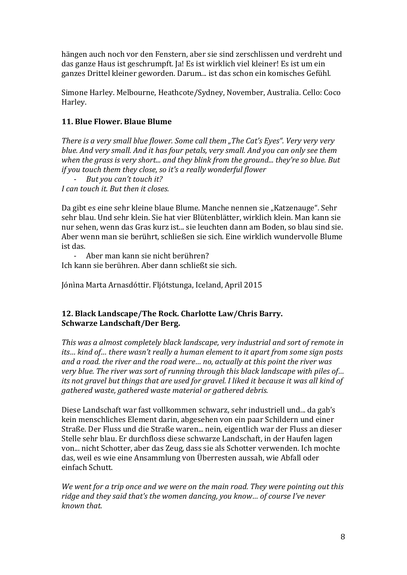hängen auch noch vor den Fenstern, aber sie sind zerschlissen und verdreht und das ganze Haus ist geschrumpft. Ja! Es ist wirklich viel kleiner! Es ist um ein ganzes Drittel kleiner geworden. Darum... ist das schon ein komisches Gefühl.

Simone Harley. Melbourne, Heathcote/Sydney, November, Australia. Cello: Coco Harley.

## **11. Blue Flower. Blaue Blume**

*There is a very small blue flower. Some call them "The Cat's Eyes". Very very very blue. And very small. And it has four petals, very small. And you can only see them when the grass is very short... and they blink from the ground... they're so blue. But if you touch them they close, so it's a really wonderful flower*

- *But you can't touch it? I can touch it. But then it closes.*

Da gibt es eine sehr kleine blaue Blume. Manche nennen sie "Katzenauge". Sehr sehr blau. Und sehr klein. Sie hat vier Blütenblätter, wirklich klein. Man kann sie nur sehen, wenn das Gras kurz ist... sie leuchten dann am Boden, so blau sind sie. Aber wenn man sie berührt, schließen sie sich. Eine wirklich wundervolle Blume ist das.

- Aber man kann sie nicht berühren? Ich kann sie berühren. Aber dann schließt sie sich.

Jónìna Marta Arnasdóttir. Fljótstunga, Iceland, April 2015

# **12. Black Landscape/The Rock. Charlotte Law/Chris Barry. Schwarze Landschaft/Der Berg.**

*This was a almost completely black landscape, very industrial and sort of remote in its… kind of… there wasn't really a human element to it apart from some sign posts and a road. the river and the road were… no, actually at this point the river was very blue. The river was sort of running through this black landscape with piles of… its not gravel but things that are used for gravel. I liked it because it was all kind of gathered waste, gathered waste material or gathered debris.*

Diese Landschaft war fast vollkommen schwarz, sehr industriell und... da gab's kein menschliches Element darin, abgesehen von ein paar Schildern und einer Straße. Der Fluss und die Straße waren... nein, eigentlich war der Fluss an dieser Stelle sehr blau. Er durchfloss diese schwarze Landschaft, in der Haufen lagen von... nicht Schotter, aber das Zeug, dass sie als Schotter verwenden. Ich mochte das, weil es wie eine Ansammlung von Überresten aussah, wie Abfall oder einfach Schutt.

*We went for a trip once and we were on the main road. They were pointing out this ridge and they said that's the women dancing, you know… of course I've never known that.*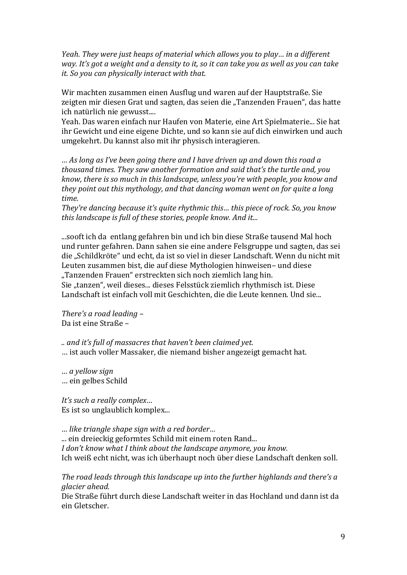*Yeah. They were just heaps of material which allows you to play… in a different way. It's got a weight and a density to it, so it can take you as well as you can take it. So you can physically interact with that.*

Wir machten zusammen einen Ausflug und waren auf der Hauptstraße. Sie zeigten mir diesen Grat und sagten, das seien die "Tanzenden Frauen", das hatte ich natürlich nie gewusst....

Yeah. Das waren einfach nur Haufen von Materie, eine Art Spielmaterie... Sie hat ihr Gewicht und eine eigene Dichte, und so kann sie auf dich einwirken und auch umgekehrt. Du kannst also mit ihr physisch interagieren.

*… As long as I've been going there and I have driven up and down this road a thousand times. They saw another formation and said that's the turtle and, you know, there is so much in this landscape, unless you're with people, you know and they point out this mythology, and that dancing woman went on for quite a long time.*

*They're dancing because it's quite rhythmic this… this piece of rock. So, you know this landscape is full of these stories, people know. And it...*

...sooft ich da entlang gefahren bin und ich bin diese Straße tausend Mal hoch und runter gefahren. Dann sahen sie eine andere Felsgruppe und sagten, das sei die "Schildkröte" und echt, da ist so viel in dieser Landschaft. Wenn du nicht mit Leuten zusammen bist, die auf diese Mythologien hinweisen– und diese "Tanzenden Frauen" erstreckten sich noch ziemlich lang hin.

Sie "tanzen", weil dieses... dieses Felsstück ziemlich rhythmisch ist. Diese Landschaft ist einfach voll mit Geschichten, die die Leute kennen. Und sie...

*There's a road leading –* Da ist eine Straße –

*.. and it's full of massacres that haven't been claimed yet.* … ist auch voller Massaker, die niemand bisher angezeigt gemacht hat.

*… a yellow sign* … ein gelbes Schild

*It's such a really complex…* Es ist so unglaublich komplex...

*… like triangle shape sign with a red border…* ... ein dreieckig geformtes Schild mit einem roten Rand... *I don't know what I think about the landscape anymore, you know.* Ich weiß echt nicht, was ich überhaupt noch über diese Landschaft denken soll.

*The road leads through this landscape up into the further highlands and there's a glacier ahead.*

Die Straße führt durch diese Landschaft weiter in das Hochland und dann ist da ein Gletscher.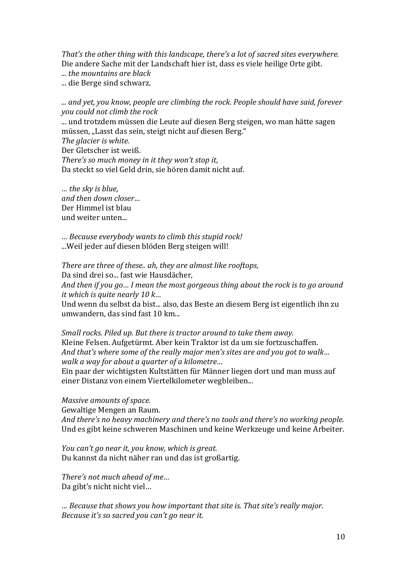*That's the other thing with this landscape, there's a lot of sacred sites everywhere.* Die andere Sache mit der Landschaft hier ist, dass es viele heilige Orte gibt.

*... the mountains are black*

... die Berge sind schwarz.

*... and yet, you know, people are climbing the rock. People should have said, forever you could not climb the rock* ... und trotzdem müssen die Leute auf diesen Berg steigen, wo man hätte sagen müssen, "Lasst das sein, steigt nicht auf diesen Berg." *The glacier is white.* Der Gletscher ist weiß. *There's so much money in it they won't stop it,*

Da steckt so viel Geld drin, sie hören damit nicht auf.

*… the sky is blue, and then down closer…* Der Himmel ist blau und weiter unten...

*… Because everybody wants to climb this stupid rock!* ...Weil jeder auf diesen blöden Berg steigen will!

*There are three of these.. ah, they are almost like rooftops,* Da sind drei so... fast wie Hausdächer,

*And then if you go… I mean the most gorgeous thing about the rock is to go around it which is quite nearly 10 k…* 

Und wenn du selbst da bist... also, das Beste an diesem Berg ist eigentlich ihn zu umwandern, das sind fast 10 km...

*Small rocks. Piled up. But there is tractor around to take them away.* Kleine Felsen. Aufgetürmt. Aber kein Traktor ist da um sie fortzuschaffen. *And that's where some of the really major men's sites are and you got to walk… walk a way for about a quarter of a kilometre…*

Ein paar der wichtigsten Kultstätten für Männer liegen dort und man muss auf einer Distanz von einem Viertelkilometer wegbleiben...

*Massive amounts of space.*

Gewaltige Mengen an Raum.

*And there's no heavy machinery and there's no tools and there's no working people.* Und es gibt keine schweren Maschinen und keine Werkzeuge und keine Arbeiter.

*You can't go near it, you know, which is great.* Du kannst da nicht näher ran und das ist großartig.

*There's not much ahead of me…* Da gibt's nicht nicht viel…

*… Because that shows you how important that site is. That site's really major. Because it's so sacred you can't go near it.*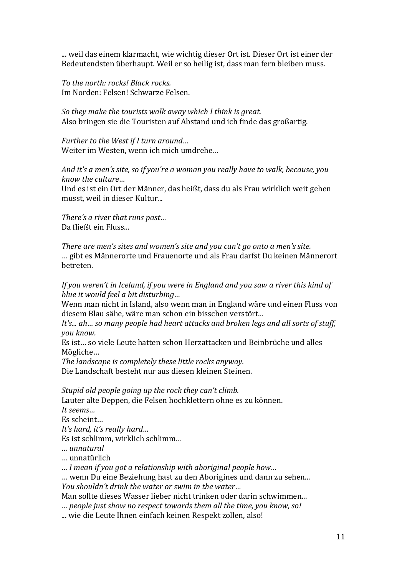... weil das einem klarmacht, wie wichtig dieser Ort ist. Dieser Ort ist einer der Bedeutendsten überhaupt. Weil er so heilig ist, dass man fern bleiben muss.

*To the north: rocks! Black rocks.* Im Norden: Felsen! Schwarze Felsen.

*So they make the tourists walk away which I think is great.* Also bringen sie die Touristen auf Abstand und ich finde das großartig.

*Further to the West if I turn around…* Weiter im Westen, wenn ich mich umdrehe…

*And it's a men's site, so if you're a woman you really have to walk, because, you know the culture…*

Und es ist ein Ort der Männer, das heißt, dass du als Frau wirklich weit gehen musst, weil in dieser Kultur...

*There's a river that runs past…* Da fließt ein Fluss...

*There are men's sites and women's site and you can't go onto a men's site.* … gibt es Männerorte und Frauenorte und als Frau darfst Du keinen Männerort betreten.

*If you weren't in Iceland, if you were in England and you saw a river this kind of blue it would feel a bit disturbing…*

Wenn man nicht in Island, also wenn man in England wäre und einen Fluss von diesem Blau sähe, wäre man schon ein bisschen verstört...

*It's... ah… so many people had heart attacks and broken legs and all sorts of stuff, you know.*

Es ist… so viele Leute hatten schon Herzattacken und Beinbrüche und alles Mögliche…

*The landscape is completely these little rocks anyway.*

Die Landschaft besteht nur aus diesen kleinen Steinen.

*Stupid old people going up the rock they can't climb.*

Lauter alte Deppen, die Felsen hochklettern ohne es zu können.

*It seems…*

Es scheint…

*It's hard, it's really hard…*

Es ist schlimm, wirklich schlimm...

*… unnatural*

… unnatürlich

*… I mean if you got a relationship with aboriginal people how…*

… wenn Du eine Beziehung hast zu den Aborigines und dann zu sehen... *You shouldn't drink the water or swim in the water…*

Man sollte dieses Wasser lieber nicht trinken oder darin schwimmen...

*… people just show no respect towards them all the time, you know, so!*

... wie die Leute Ihnen einfach keinen Respekt zollen, also!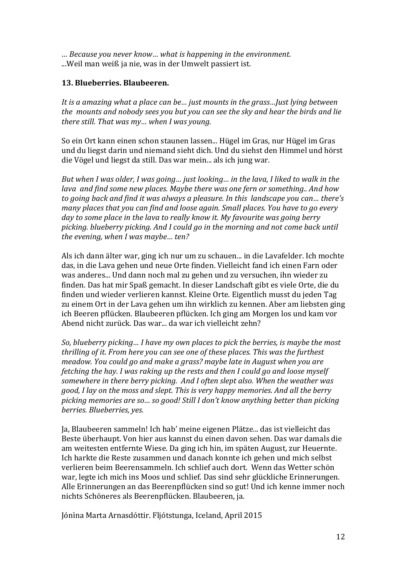*… Because you never know… what is happening in the environment.* ...Weil man weiß ja nie, was in der Umwelt passiert ist.

# **13. Blueberries. Blaubeeren.**

*It is a amazing what a place can be… just mounts in the grass…Just lying between the mounts and nobody sees you but you can see the sky and hear the birds and lie there still. That was my… when I was young.*

So ein Ort kann einen schon staunen lassen... Hügel im Gras, nur Hügel im Gras und du liegst darin und niemand sieht dich. Und du siehst den Himmel und hörst die Vögel und liegst da still. Das war mein... als ich jung war.

*But when I was older, I was going… just looking… in the lava, I liked to walk in the lava and find some new places. Maybe there was one fern or something.. And how to going back and find it was always a pleasure. In this landscape you can… there's many places that you can find and loose again. Small places. You have to go every day to some place in the lava to really know it. My favourite was going berry picking. blueberry picking. And I could go in the morning and not come back until the evening, when I was maybe… ten?*

Als ich dann älter war, ging ich nur um zu schauen... in die Lavafelder. Ich mochte das, in die Lava gehen und neue Orte finden. Vielleicht fand ich einen Farn oder was anderes... Und dann noch mal zu gehen und zu versuchen, ihn wieder zu finden. Das hat mir Spaß gemacht. In dieser Landschaft gibt es viele Orte, die du finden und wieder verlieren kannst. Kleine Orte. Eigentlich musst du jeden Tag zu einem Ort in der Lava gehen um ihn wirklich zu kennen. Aber am liebsten ging ich Beeren pflücken. Blaubeeren pflücken. Ich ging am Morgen los und kam vor Abend nicht zurück. Das war... da war ich vielleicht zehn?

*So, blueberry picking… I have my own places to pick the berries, is maybe the most thrilling of it. From here you can see one of these places. This was the furthest meadow. You could go and make a grass? maybe late in August when you are fetching the hay. I was raking up the rests and then I could go and loose myself somewhere in there berry picking. And I often slept also. When the weather was good, I lay on the moss and slept. This is very happy memories. And all the berry picking memories are so… so good! Still I don't know anything better than picking berries. Blueberries, yes.*

Ja, Blaubeeren sammeln! Ich hab' meine eigenen Plätze... das ist vielleicht das Beste überhaupt. Von hier aus kannst du einen davon sehen. Das war damals die am weitesten entfernte Wiese. Da ging ich hin, im späten August, zur Heuernte. Ich harkte die Reste zusammen und danach konnte ich gehen und mich selbst verlieren beim Beerensammeln. Ich schlief auch dort. Wenn das Wetter schön war, legte ich mich ins Moos und schlief. Das sind sehr glückliche Erinnerungen. Alle Erinnerungen an das Beerenpflücken sind so gut! Und ich kenne immer noch nichts Schöneres als Beerenpflücken. Blaubeeren, ja.

Jónìna Marta Arnasdóttir. Fljótstunga, Iceland, April 2015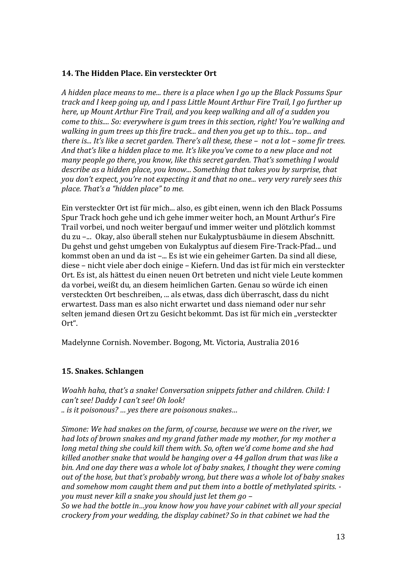## **14. The Hidden Place. Ein versteckter Ort**

*A hidden place means to me... there is a place when I go up the Black Possums Spur track and I keep going up, and I pass Little Mount Arthur Fire Trail, I go further up here, up Mount Arthur Fire Trail, and you keep walking and all of a sudden you come to this.... So: everywhere is gum trees in this section, right! You're walking and walking in gum trees up this fire track... and then you get up to this... top... and there is... It's like a secret garden. There's all these, these – not a lot – some fir trees. And that's like a hidden place to me. It's like you've come to a new place and not many people go there, you know, like this secret garden. That's something I would describe as a hidden place, you know... Something that takes you by surprise, that you don't expect, you're not expecting it and that no one... very very rarely sees this place. That's a "hidden place" to me.*

Ein versteckter Ort ist für mich... also, es gibt einen, wenn ich den Black Possums Spur Track hoch gehe und ich gehe immer weiter hoch, an Mount Arthur's Fire Trail vorbei, und noch weiter bergauf und immer weiter und plötzlich kommst du zu –... Okay, also überall stehen nur Eukalyptusbäume in diesem Abschnitt. Du gehst und gehst umgeben von Eukalyptus auf diesem Fire-Track-Pfad... und kommst oben an und da ist –... Es ist wie ein geheimer Garten. Da sind all diese, diese – nicht viele aber doch einige – Kiefern. Und das ist für mich ein versteckter Ort. Es ist, als hättest du einen neuen Ort betreten und nicht viele Leute kommen da vorbei, weißt du, an diesem heimlichen Garten. Genau so würde ich einen versteckten Ort beschreiben, ... als etwas, dass dich überrascht, dass du nicht erwartest. Dass man es also nicht erwartet und dass niemand oder nur sehr selten jemand diesen Ort zu Gesicht bekommt. Das ist für mich ein "versteckter Ort".

Madelynne Cornish. November. Bogong, Mt. Victoria, Australia 2016

#### **15. Snakes. Schlangen**

*Woahh haha, that's a snake! Conversation snippets father and children. Child: I can't see! Daddy I can't see! Oh look! .. is it poisonous? … yes there are poisonous snakes…*

*Simone: We had snakes on the farm, of course, because we were on the river, we had lots of brown snakes and my grand father made my mother, for my mother a long metal thing she could kill them with. So, often we'd come home and she had killed another snake that would be hanging over a 44 gallon drum that was like a bin. And one day there was a whole lot of baby snakes, I thought they were coming out of the hose, but that's probably wrong, but there was a whole lot of baby snakes and somehow mom caught them and put them into a bottle of methylated spirits. you must never kill a snake you should just let them go –*

*So we had the bottle in…you know how you have your cabinet with all your special crockery from your wedding, the display cabinet? So in that cabinet we had the*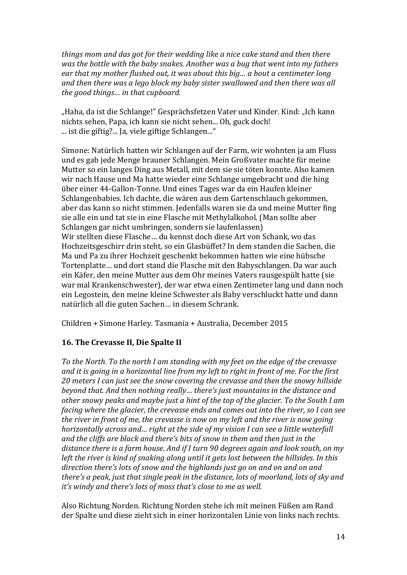*things mom and das got for their wedding like a nice cake stand and then there was the bottle with the baby snakes. Another was a bug that went into my fathers ear that my mother flushed out, it was about this big… a bout a centimeter long and then there was a lego block my baby sister swallowed and then there was all the good things… in that cupboard.*

"Haha, da ist die Schlange!" Gesprächsfetzen Vater und Kinder. Kind: "Ich kann nichts sehen, Papa, ich kann sie nicht sehen... Oh, guck doch! ... ist die giftig?... Ja, viele giftige Schlangen..."

Simone: Natürlich hatten wir Schlangen auf der Farm, wir wohnten ja am Fluss und es gab jede Menge brauner Schlangen. Mein Großvater machte für meine Mutter so ein langes Ding aus Metall, mit dem sie sie töten konnte. Also kamen wir nach Hause und Ma hatte wieder eine Schlange umgebracht und die hing über einer 44-Gallon-Tonne. Und eines Tages war da ein Haufen kleiner Schlangenbabies. Ich dachte, die wären aus dem Gartenschlauch gekommen, aber das kann so nicht stimmen. Jedenfalls waren sie da und meine Mutter fing sie alle ein und tat sie in eine Flasche mit Methylalkohol. (Man sollte aber Schlangen gar nicht umbringen, sondern sie laufenlassen) Wir stellten diese Flasche… du kennst doch diese Art von Schank, wo das Hochzeitsgeschirr drin steht, so ein Glasbüffet? In dem standen die Sachen, die Ma und Pa zu ihrer Hochzeit geschenkt bekommen hatten wie eine hübsche Tortenplatte… und dort stand die Flasche mit den Babyschlangen. Da war auch ein Käfer, den meine Mutter aus dem Ohr meines Vaters rausgespült hatte (sie war mal Krankenschwester), der war etwa einen Zentimeter lang und dann noch ein Legostein, den meine kleine Schwester als Baby verschluckt hatte und dann natürlich all die guten Sachen… in diesem Schrank.

Children + Simone Harley. Tasmania + Australia, December 2015

# **16. The Crevasse II, Die Spalte II**

*To the North. To the north I am standing with my feet on the edge of the crevasse and it is going in a horizontal line from my left to right in front of me. For the first 20 meters I can just see the snow covering the crevasse and then the snowy hillside beyond that. And then nothing really… there's just mountains in the distance and other snowy peaks and maybe just a hint of the top of the glacier. To the South I am facing where the glacier, the crevasse ends and comes out into the river, so I can see the river in front of me, the crevasse is now on my left and the river is now going horizontally across and… right at the side of my vision I can see a little waterfall and the cliffs are black and there's bits of snow in them and then just in the distance there is a farm house. And if I turn 90 degrees again and look south, on my left the river is kind of snaking along until it gets lost between the hillsides. In this direction there's lots of snow and the highlands just go on and on and on and there's a peak, just that single peak in the distance, lots of moorland, lots of sky and it's windy and there's lots of moss that's close to me as well.*

Also Richtung Norden. Richtung Norden stehe ich mit meinen Füßen am Rand der Spalte und diese zieht sich in einer horizontalen Linie von links nach rechts.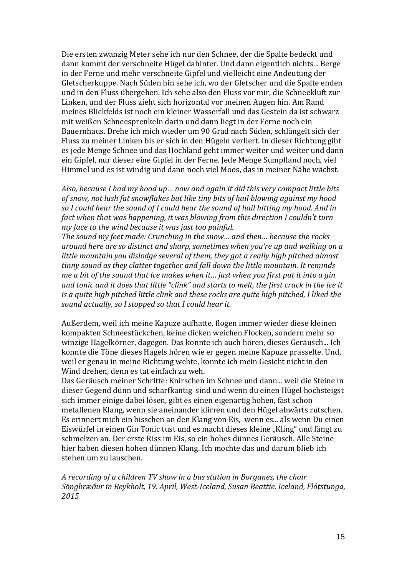Die ersten zwanzig Meter sehe ich nur den Schnee, der die Spalte bedeckt und dann kommt der verschneite Hügel dahinter. Und dann eigentlich nichts... Berge in der Ferne und mehr verschneite Gipfel und vielleicht eine Andeutung der Gletscherkuppe. Nach Süden hin sehe ich, wo der Gletscher und die Spalte enden und in den Fluss übergehen. Ich sehe also den Fluss vor mir, die Schneekluft zur Linken, und der Fluss zieht sich horizontal vor meinen Augen hin. Am Rand meines Blickfelds ist noch ein kleiner Wasserfall und das Gestein da ist schwarz mit weißen Schneesprenkeln darin und dann liegt in der Ferne noch ein Bauernhaus. Drehe ich mich wieder um 90 Grad nach Süden, schlängelt sich der Fluss zu meiner Linken bis er sich in den Hügeln verliert. In dieser Richtung gibt es jede Menge Schnee und das Hochland geht immer weiter und weiter und dann ein Gipfel, nur dieser eine Gipfel in der Ferne. Jede Menge Sumpfland noch, viel Himmel und es ist windig und dann noch viel Moos, das in meiner Nähe wächst.

*Also, because I had my hood up… now and again it did this very compact little bits of snow, not lush fat snowflakes but like tiny bits of hail blowing against my hood so I could hear the sound of I could hear the sound of hail hitting my hood. And in fact when that was happening, it was blowing from this direction I couldn't turn my face to the wind because it was just too painful.*

*The sound my feet made: Crunching in the snow… and then… because the rocks around here are so distinct and sharp, sometimes when you're up and walking on a little mountain you dislodge several of them, they got a really high pitched almost tinny sound as they clatter together and fall down the little mountain. It reminds me a bit of the sound that ice makes when it… just when you first put it into a gin and tonic and it does that little "clink" and starts to melt, the first crack in the ice it is a quite high pitched little clink and these rocks are quite high pitched, I liked the sound actually, so I stopped so that I could hear it.*

Außerdem, weil ich meine Kapuze aufhatte, flogen immer wieder diese kleinen kompakten Schneestückchen, keine dicken weichen Flocken, sondern mehr so winzige Hagelkörner, dagegen. Das konnte ich auch hören, dieses Geräusch... Ich konnte die Töne dieses Hagels hören wie er gegen meine Kapuze prasselte. Und, weil er genau in meine Richtung wehte, konnte ich mein Gesicht nicht in den Wind drehen, denn es tat einfach zu weh.

Das Geräusch meiner Schritte: Knirschen im Schnee und dann... weil die Steine in dieser Gegend dünn und scharfkantig sind und wenn du einen Hügel hochsteigst sich immer einige dabei lösen, gibt es einen eigenartig hohen, fast schon metallenen Klang, wenn sie aneinander klirren und den Hügel abwärts rutschen. Es erinnert mich ein bisschen an den Klang von Eis, wenn es... als wenn Du einen Eiswürfel in einen Gin Tonic tust und es macht dieses kleine "Kling" und fängt zu schmelzen an. Der erste Riss im Eis, so ein hohes dünnes Geräusch. Alle Steine hier haben diesen hohen dünnen Klang. Ich mochte das und darum blieb ich stehen um zu lauschen.

*A recording of a children TV show in a bus station in Borganes, the choir Söngbræður in Reykholt, 19. April, West-Iceland, Susan Beattie. Iceland, Flótstunga, 2015*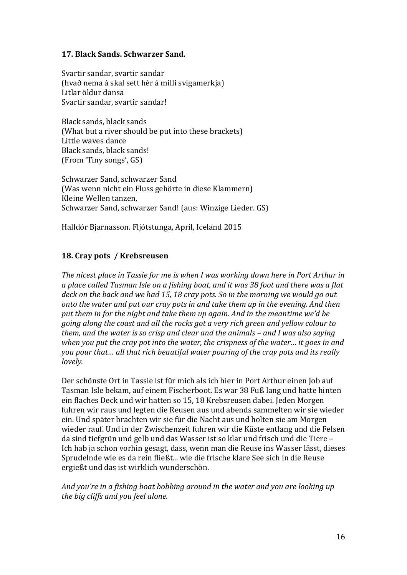#### **17. Black Sands. Schwarzer Sand.**

Svartir sandar, svartir sandar (hvað nema á skal sett hér á milli svigamerkja) Litlar öldur dansa Svartir sandar, svartir sandar!

Black sands, black sands (What but a river should be put into these brackets) Little waves dance Black sands, black sands! (From 'Tiny songs', GS)

Schwarzer Sand, schwarzer Sand (Was wenn nicht ein Fluss gehörte in diese Klammern) Kleine Wellen tanzen, Schwarzer Sand, schwarzer Sand! (aus: Winzige Lieder. GS)

Halldór Bjarnasson. Fljótstunga, April, Iceland 2015

## **18. Cray pots / Krebsreusen**

*The nicest place in Tassie for me is when I was working down here in Port Arthur in a place called Tasman Isle on a fishing boat, and it was 38 foot and there was a flat deck on the back and we had 15, 18 cray pots. So in the morning we would go out onto the water and put our cray pots in and take them up in the evening. And then put them in for the night and take them up again. And in the meantime we'd be going along the coast and all the rocks got a very rich green and yellow colour to them, and the water is so crisp and clear and the animals – and I was also saying when you put the cray pot into the water, the crispness of the water... it goes in and you pour that… all that rich beautiful water pouring of the cray pots and its really lovely.*

Der schönste Ort in Tassie ist für mich als ich hier in Port Arthur einen Job auf Tasman Isle bekam, auf einem Fischerboot. Es war 38 Fuß lang und hatte hinten ein flaches Deck und wir hatten so 15, 18 Krebsreusen dabei. Jeden Morgen fuhren wir raus und legten die Reusen aus und abends sammelten wir sie wieder ein. Und später brachten wir sie für die Nacht aus und holten sie am Morgen wieder rauf. Und in der Zwischenzeit fuhren wir die Küste entlang und die Felsen da sind tiefgrün und gelb und das Wasser ist so klar und frisch und die Tiere – Ich hab ja schon vorhin gesagt, dass, wenn man die Reuse ins Wasser lässt, dieses Sprudelnde wie es da rein fließt... wie die frische klare See sich in die Reuse ergießt und das ist wirklich wunderschön.

#### *And you're in a fishing boat bobbing around in the water and you are looking up the big cliffs and you feel alone.*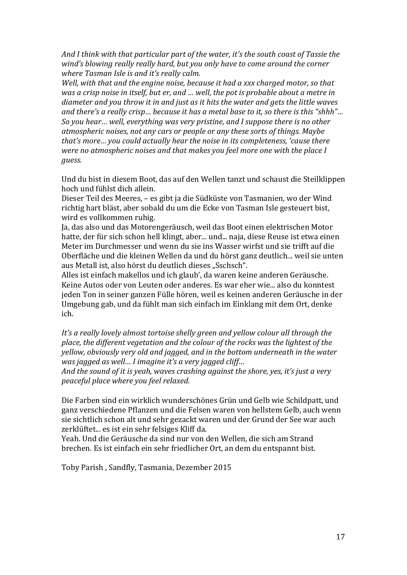*And I think with that particular part of the water, it's the south coast of Tassie the wind's blowing really really hard, but you only have to come around the corner where Tasman Isle is and it's really calm.*

*Well, with that and the engine noise, because it had a xxx charged motor, so that was a crisp noise in itself, but er, and … well, the pot is probable about a metre in diameter and you throw it in and just as it hits the water and gets the little waves and there's a really crisp… because it has a metal base to it, so there is this "shhh"… So you hear… well, everything was very pristine, and I suppose there is no other atmospheric noises, not any cars or people or any these sorts of things. Maybe that's more… you could actually hear the noise in its completeness, 'cause there were no atmospheric noises and that makes you feel more one with the place I guess.*

Und du bist in diesem Boot, das auf den Wellen tanzt und schaust die Steilklippen hoch und fühlst dich allein.

Dieser Teil des Meeres, – es gibt ja die Südküste von Tasmanien, wo der Wind richtig hart bläst, aber sobald du um die Ecke von Tasman Isle gesteuert bist, wird es vollkommen ruhig.

Ja, das also und das Motorengeräusch, weil das Boot einen elektrischen Motor hatte, der für sich schon hell klingt, aber... und... naja, diese Reuse ist etwa einen Meter im Durchmesser und wenn du sie ins Wasser wirfst und sie trifft auf die Oberfläche und die kleinen Wellen da und du hörst ganz deutlich... weil sie unten aus Metall ist, also hörst du deutlich dieses "Sschsch".

Alles ist einfach makellos und ich glaub', da waren keine anderen Geräusche. Keine Autos oder von Leuten oder anderes. Es war eher wie... also du konntest jeden Ton in seiner ganzen Fülle hören, weil es keinen anderen Geräusche in der Umgebung gab, und da fühlt man sich einfach im Einklang mit dem Ort, denke ich.

*It's a really lovely almost tortoise shelly green and yellow colour all through the place, the different vegetation and the colour of the rocks was the lightest of the yellow, obviously very old and jagged, and in the bottom underneath in the water was jagged as well… I imagine it's a very jagged cliff…*

*And the sound of it is yeah, waves crashing against the shore, yes, it's just a very peaceful place where you feel relaxed.*

Die Farben sind ein wirklich wunderschönes Grün und Gelb wie Schildpatt, und ganz verschiedene Pflanzen und die Felsen waren von hellstem Gelb, auch wenn sie sichtlich schon alt und sehr gezackt waren und der Grund der See war auch zerklüftet... es ist ein sehr felsiges Kliff da.

Yeah. Und die Geräusche da sind nur von den Wellen, die sich am Strand brechen. Es ist einfach ein sehr friedlicher Ort, an dem du entspannt bist.

Toby Parish , Sandfly, Tasmania, Dezember 2015